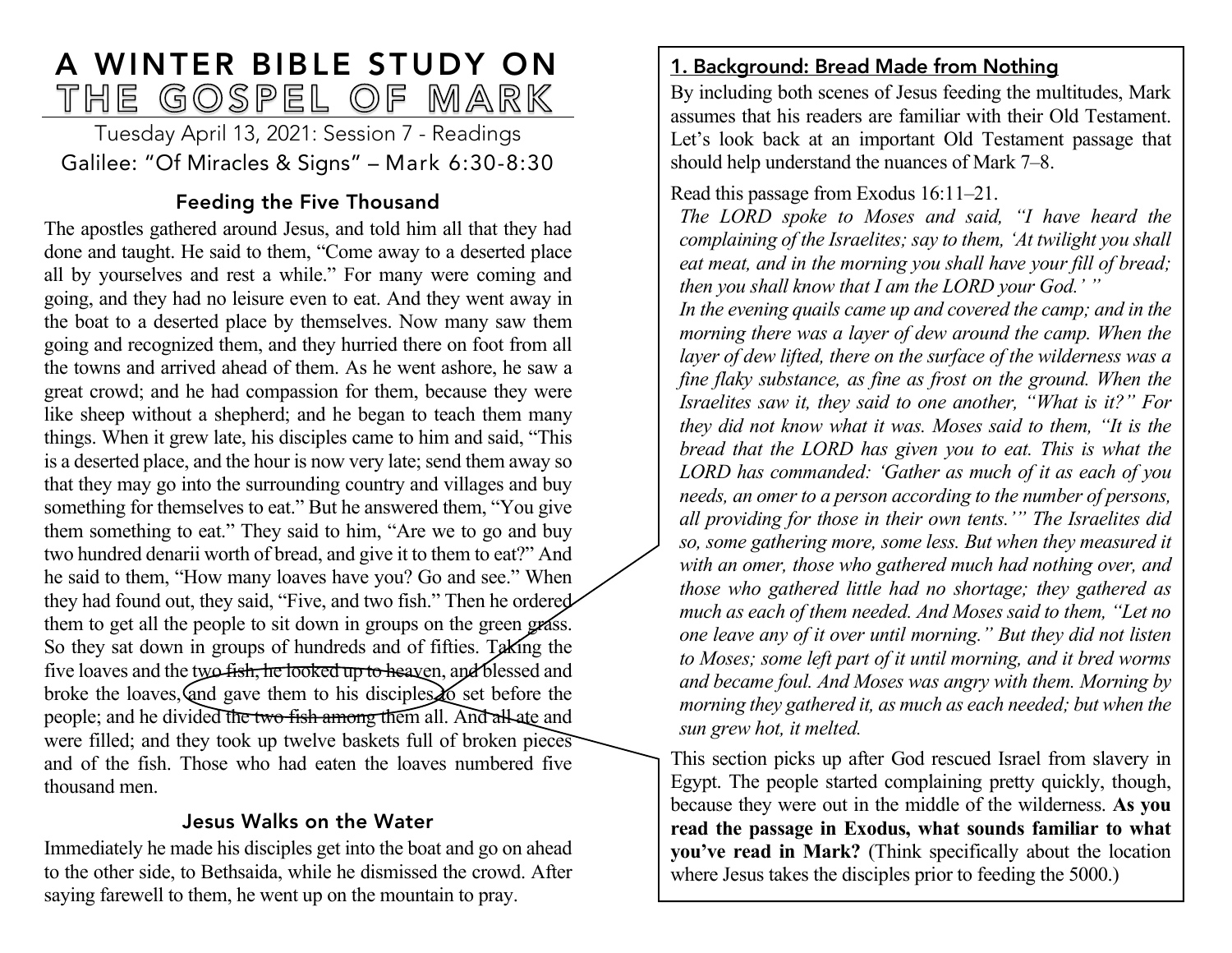# A WINTER BIBLE STUDY ON<br>THE GOSPEL OF MARK

Tuesday April 13, 2021: Session 7 - Readings Galilee: "Of Miracles & Signs" – Mark 6:30-8:30

### Feeding the Five Thousand

The apostles gathered around Jesus, and told him all that they had done and taught. He said to them, "Come away to a deserted place all by yourselves and rest a while." For many were coming and going, and they had no leisure even to eat. And they went away in the boat to a deserted place by themselves. Now many saw them going and recognized them, and they hurried there on foot from all the towns and arrived ahead of them. As he went ashore, he saw a great crowd; and he had compassion for them, because they were like sheep without a shepherd; and he began to teach them many things. When it grew late, his disciples came to him and said, "This is a deserted place, and the hour is now very late; send them away so that they may go into the surrounding country and villages and buy something for themselves to eat." But he answered them, "You give them something to eat." They said to him, "Are we to go and buy two hundred denarii worth of bread, and give it to them to eat?" And he said to them, "How many loaves have you? Go and see." When they had found out, they said, "Five, and two fish." Then he ordered them to get all the people to sit down in groups on the green grass. So they sat down in groups of hundreds and of fifties. Taking the five loaves and the two fish, he looked up to heaven, and blessed and broke the loaves, and gave them to his disciples  $\chi$  set before the people; and he divided the two fish among them all. And all ate and were filled; and they took up twelve baskets full of broken pieces and of the fish. Those who had eaten the loaves numbered five thousand men.

#### Jesus Walks on the Water

Immediately he made his disciples get into the boat and go on ahead to the other side, to Bethsaida, while he dismissed the crowd. After saying farewell to them, he went up on the mountain to pray.

#### 1. Background: Bread Made from Nothing

By including both scenes of Jesus feeding the multitudes, Mark assumes that his readers are familiar with their Old Testament. Let's look back at an important Old Testament passage that should help understand the nuances of Mark 7–8.

Read this passage from Exodus 16:11–21.

*The LORD spoke to Moses and said, "I have heard the complaining of the Israelites; say to them, 'At twilight you shall eat meat, and in the morning you shall have your fill of bread; then you shall know that I am the LORD your God.' "*

*In the evening quails came up and covered the camp; and in the morning there was a layer of dew around the camp. When the layer of dew lifted, there on the surface of the wilderness was a fine flaky substance, as fine as frost on the ground. When the Israelites saw it, they said to one another, "What is it?" For they did not know what it was. Moses said to them, "It is the bread that the LORD has given you to eat. This is what the LORD has commanded: 'Gather as much of it as each of you needs, an omer to a person according to the number of persons, all providing for those in their own tents.'" The Israelites did so, some gathering more, some less. But when they measured it with an omer, those who gathered much had nothing over, and those who gathered little had no shortage; they gathered as much as each of them needed. And Moses said to them, "Let no one leave any of it over until morning." But they did not listen to Moses; some left part of it until morning, and it bred worms and became foul. And Moses was angry with them. Morning by morning they gathered it, as much as each needed; but when the sun grew hot, it melted.*

This section picks up after God rescued Israel from slavery in Egypt. The people started complaining pretty quickly, though, because they were out in the middle of the wilderness. **As you read the passage in Exodus, what sounds familiar to what you've read in Mark?** (Think specifically about the location where Jesus takes the disciples prior to feeding the 5000.)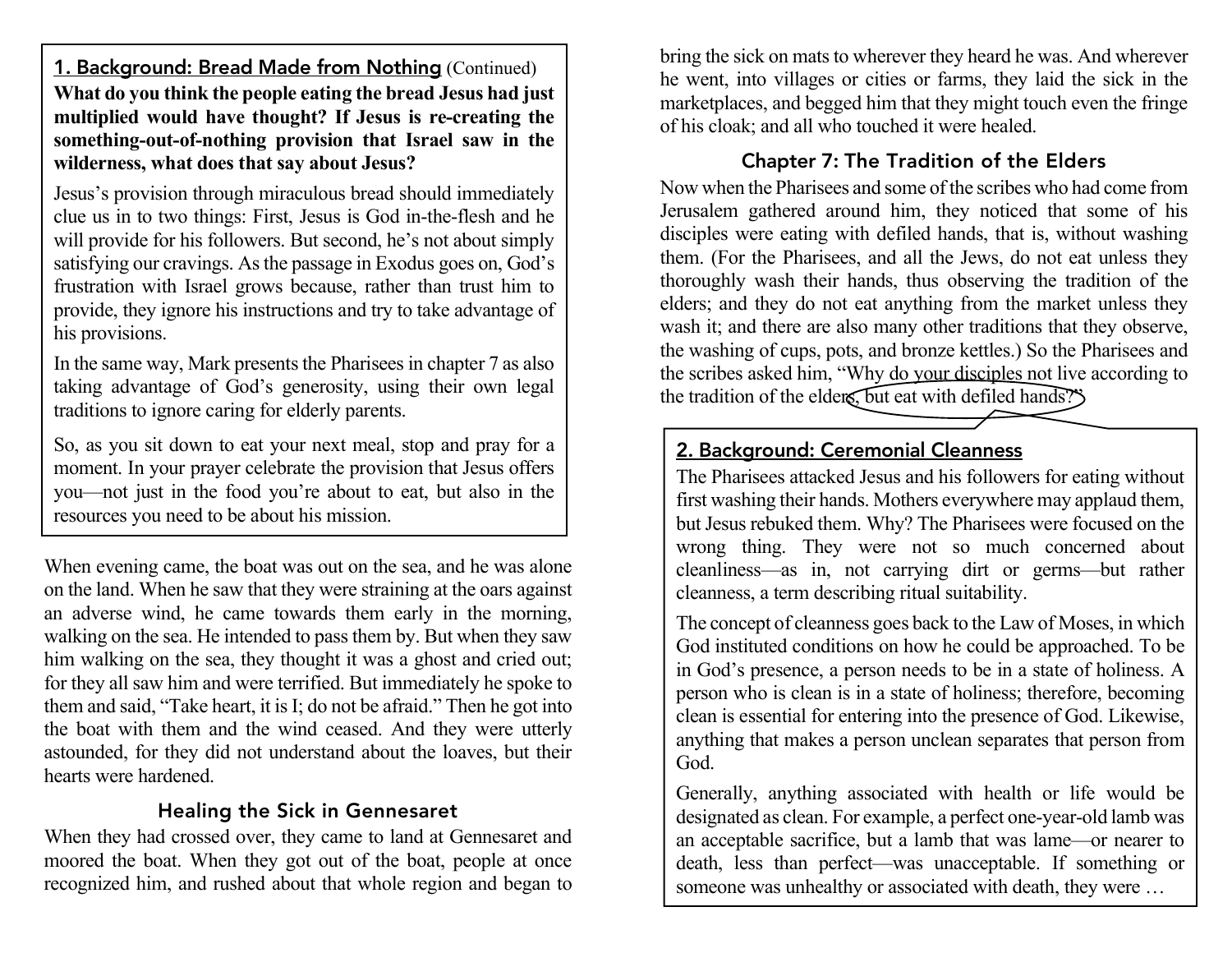1. Background: Bread Made from Nothing (Continued) **What do you think the people eating the bread Jesus had just multiplied would have thought? If Jesus is re-creating the something-out-of-nothing provision that Israel saw in the wilderness, what does that say about Jesus?**

Jesus's provision through miraculous bread should immediately clue us in to two things: First, Jesus is God in-the-flesh and he will provide for his followers. But second, he's not about simply satisfying our cravings. Asthe passage in Exodus goes on, God's frustration with Israel grows because, rather than trust him to provide, they ignore his instructions and try to take advantage of his provisions.

In the same way, Mark presents the Pharisees in chapter 7 as also taking advantage of God's generosity, using their own legal traditions to ignore caring for elderly parents.

So, as you sit down to eat your next meal, stop and pray for a moment. In your prayer celebrate the provision that Jesus offers you—not just in the food you're about to eat, but also in the resources you need to be about his mission.

When evening came, the boat was out on the sea, and he was alone on the land. When he saw that they were straining at the oars against an adverse wind, he came towards them early in the morning, walking on the sea. He intended to pass them by. But when they saw him walking on the sea, they thought it was a ghost and cried out; for they all saw him and were terrified. But immediately he spoke to them and said, "Take heart, it is I; do not be afraid." Then he got into the boat with them and the wind ceased. And they were utterly astounded, for they did not understand about the loaves, but their hearts were hardened.

#### Healing the Sick in Gennesaret

When they had crossed over, they came to land at Gennesaret and moored the boat. When they got out of the boat, people at once recognized him, and rushed about that whole region and began to bring the sick on mats to wherever they heard he was. And wherever he went, into villages or cities or farms, they laid the sick in the marketplaces, and begged him that they might touch even the fringe of his cloak; and all who touched it were healed.

# Chapter 7: The Tradition of the Elders

Now when the Pharisees and some of the scribes who had come from Jerusalem gathered around him, they noticed that some of his disciples were eating with defiled hands, that is, without washing them. (For the Pharisees, and all the Jews, do not eat unless they thoroughly wash their hands, thus observing the tradition of the elders; and they do not eat anything from the market unless they wash it; and there are also many other traditions that they observe, the washing of cups, pots, and bronze kettles.) So the Pharisees and the scribes asked him, "Why do your disciples not live according to the tradition of the elders, but eat with defiled hands?"

# 2. Background: Ceremonial Cleanness

The Pharisees attacked Jesus and his followers for eating without first washing their hands. Mothers everywhere may applaud them, but Jesus rebuked them. Why? The Pharisees were focused on the wrong thing. They were not so much concerned about cleanliness—as in, not carrying dirt or germs—but rather cleanness, a term describing ritual suitability.

The concept of cleanness goes back to the Law of Moses, in which God instituted conditions on how he could be approached. To be in God's presence, a person needs to be in a state of holiness. A person who is clean is in a state of holiness; therefore, becoming clean is essential for entering into the presence of God. Likewise, anything that makes a person unclean separates that person from God.

Generally, anything associated with health or life would be designated as clean. For example, a perfect one-year-old lamb was an acceptable sacrifice, but a lamb that was lame—or nearer to death, less than perfect—was unacceptable. If something or someone was unhealthy or associated with death, they were …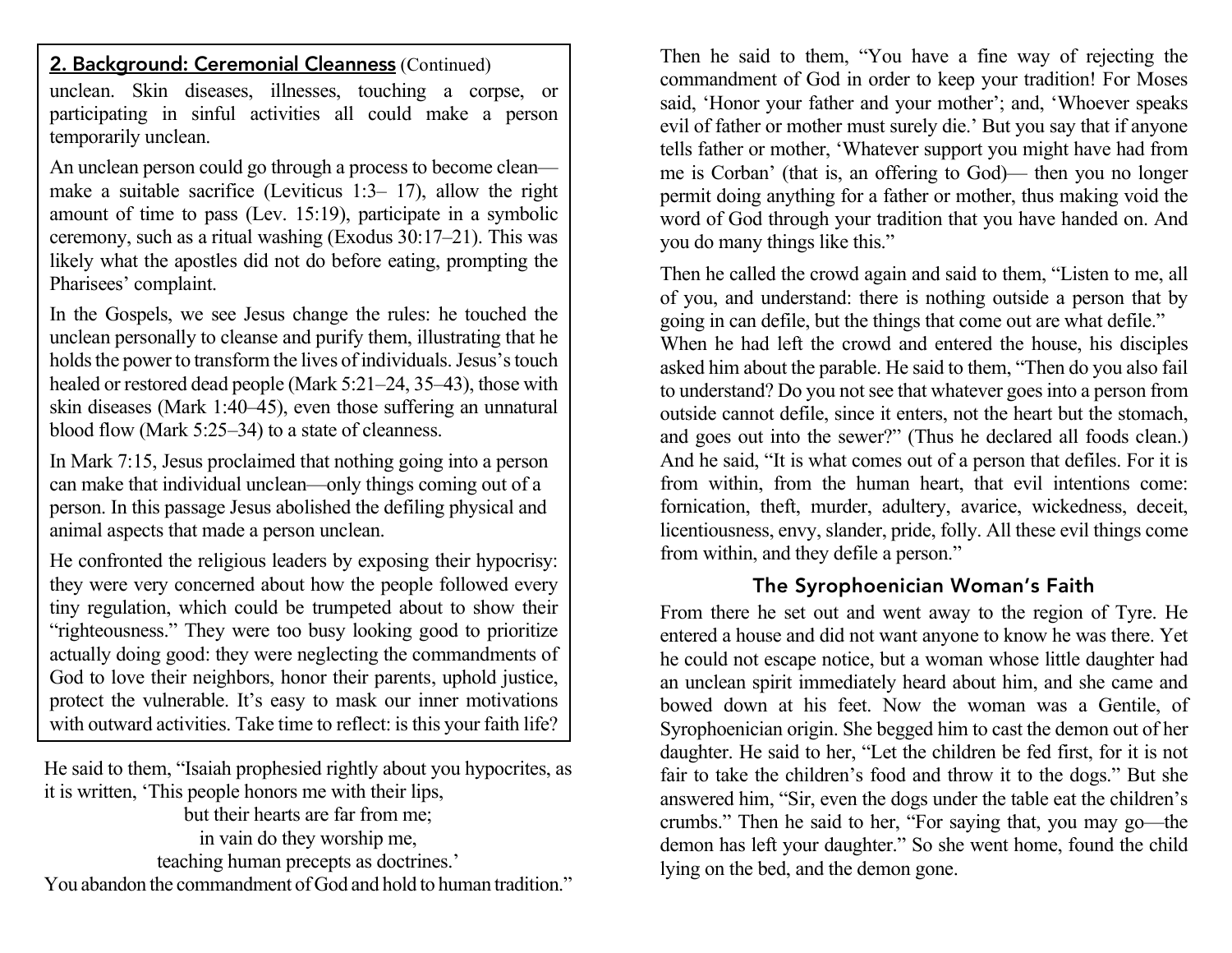#### 2. Background: Ceremonial Cleanness (Continued)

unclean. Skin diseases, illnesses, touching a corpse, or participating in sinful activities all could make a person temporarily unclean.

An unclean person could go through a process to become clean make a suitable sacrifice (Leviticus 1:3– 17), allow the right amount of time to pass (Lev. 15:19), participate in a symbolic ceremony, such as a ritual washing (Exodus 30:17–21). This was likely what the apostles did not do before eating, prompting the Pharisees' complaint.

In the Gospels, we see Jesus change the rules: he touched the unclean personally to cleanse and purify them, illustrating that he holds the power to transform the lives of individuals. Jesus's touch healed or restored dead people (Mark 5:21–24, 35–43), those with skin diseases (Mark 1:40–45), even those suffering an unnatural blood flow (Mark 5:25–34) to a state of cleanness.

In Mark 7:15, Jesus proclaimed that nothing going into a person can make that individual unclean—only things coming out of a person. In this passage Jesus abolished the defiling physical and animal aspects that made a person unclean.

He confronted the religious leaders by exposing their hypocrisy: they were very concerned about how the people followed every tiny regulation, which could be trumpeted about to show their "righteousness." They were too busy looking good to prioritize actually doing good: they were neglecting the commandments of God to love their neighbors, honor their parents, uphold justice, protect the vulnerable. It's easy to mask our inner motivations with outward activities. Take time to reflect: is this your faith life?

He said to them, "Isaiah prophesied rightly about you hypocrites, as it is written, 'This people honors me with their lips, but their hearts are far from me; in vain do they worship me,

teaching human precepts as doctrines.' You abandon the commandment of God and hold to human tradition." Then he said to them, "You have a fine way of rejecting the commandment of God in order to keep your tradition! For Moses said, 'Honor your father and your mother'; and, 'Whoever speaks evil of father or mother must surely die.' But you say that if anyone tells father or mother, 'Whatever support you might have had from me is Corban' (that is, an offering to God)— then you no longer permit doing anything for a father or mother, thus making void the word of God through your tradition that you have handed on. And you do many things like this."

Then he called the crowd again and said to them, "Listen to me, all of you, and understand: there is nothing outside a person that by going in can defile, but the things that come out are what defile." When he had left the crowd and entered the house, his disciples asked him about the parable. He said to them, "Then do you also fail to understand? Do you not see that whatever goes into a person from outside cannot defile, since it enters, not the heart but the stomach, and goes out into the sewer?" (Thus he declared all foods clean.) And he said, "It is what comes out of a person that defiles. For it is from within, from the human heart, that evil intentions come: fornication, theft, murder, adultery, avarice, wickedness, deceit, licentiousness, envy, slander, pride, folly. All these evil things come from within, and they defile a person."

#### The Syrophoenician Woman's Faith

From there he set out and went away to the region of Tyre. He entered a house and did not want anyone to know he was there. Yet he could not escape notice, but a woman whose little daughter had an unclean spirit immediately heard about him, and she came and bowed down at his feet. Now the woman was a Gentile, of Syrophoenician origin. She begged him to cast the demon out of her daughter. He said to her, "Let the children be fed first, for it is not fair to take the children's food and throw it to the dogs." But she answered him, "Sir, even the dogs under the table eat the children's crumbs." Then he said to her, "For saying that, you may go—the demon has left your daughter." So she went home, found the child lying on the bed, and the demon gone.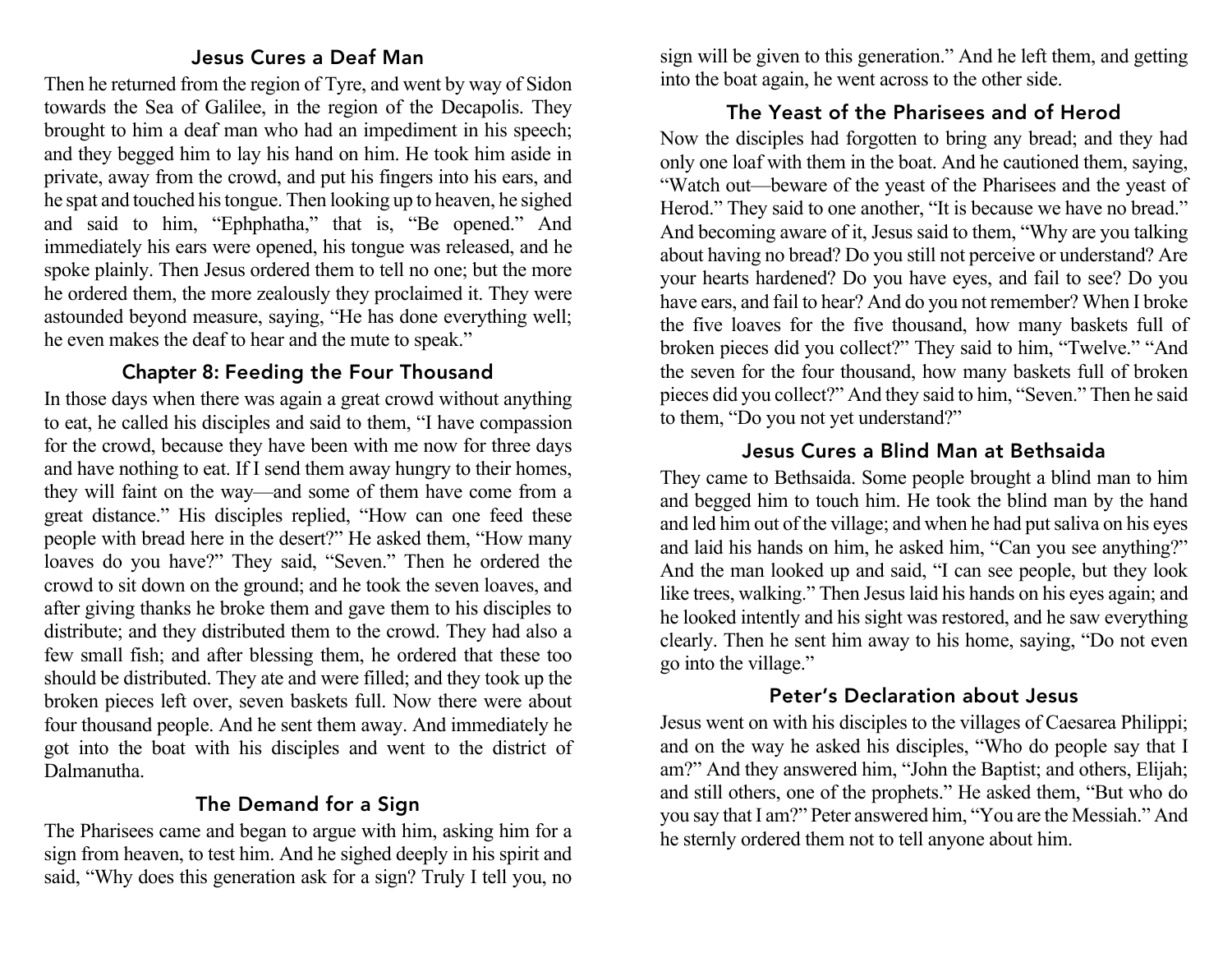#### Jesus Cures a Deaf Man

Then he returned from the region of Tyre, and went by way of Sidon towards the Sea of Galilee, in the region of the Decapolis. They brought to him a deaf man who had an impediment in his speech; and they begged him to lay his hand on him. He took him aside in private, away from the crowd, and put his fingers into his ears, and he spat and touched his tongue. Then looking up to heaven, he sighed and said to him, "Ephphatha," that is, "Be opened." And immediately his ears were opened, his tongue was released, and he spoke plainly. Then Jesus ordered them to tell no one; but the more he ordered them, the more zealously they proclaimed it. They were astounded beyond measure, saying, "He has done everything well; he even makes the deaf to hear and the mute to speak."

#### Chapter 8: Feeding the Four Thousand

In those days when there was again a great crowd without anything to eat, he called his disciples and said to them, "I have compassion for the crowd, because they have been with me now for three days and have nothing to eat. If I send them away hungry to their homes, they will faint on the way—and some of them have come from a great distance." His disciples replied, "How can one feed these people with bread here in the desert?" He asked them, "How many loaves do you have?" They said, "Seven." Then he ordered the crowd to sit down on the ground; and he took the seven loaves, and after giving thanks he broke them and gave them to his disciples to distribute; and they distributed them to the crowd. They had also a few small fish; and after blessing them, he ordered that these too should be distributed. They ate and were filled; and they took up the broken pieces left over, seven baskets full. Now there were about four thousand people. And he sent them away. And immediately he got into the boat with his disciples and went to the district of Dalmanutha.

#### The Demand for a Sign

The Pharisees came and began to argue with him, asking him for a sign from heaven, to test him. And he sighed deeply in his spirit and said, "Why does this generation ask for a sign? Truly I tell you, no sign will be given to this generation." And he left them, and getting into the boat again, he went across to the other side.

#### The Yeast of the Pharisees and of Herod

Now the disciples had forgotten to bring any bread; and they had only one loaf with them in the boat. And he cautioned them, saying, "Watch out—beware of the yeast of the Pharisees and the yeast of Herod." They said to one another, "It is because we have no bread." And becoming aware of it, Jesus said to them, "Why are you talking about having no bread? Do you still not perceive or understand? Are your hearts hardened? Do you have eyes, and fail to see? Do you have ears, and fail to hear? And do you not remember? When I broke the five loaves for the five thousand, how many baskets full of broken pieces did you collect?" They said to him, "Twelve." "And the seven for the four thousand, how many baskets full of broken pieces did you collect?" And they said to him, "Seven." Then he said to them, "Do you not yet understand?"

#### Jesus Cures a Blind Man at Bethsaida

They came to Bethsaida. Some people brought a blind man to him and begged him to touch him. He took the blind man by the hand and led him out of the village; and when he had put saliva on his eyes and laid his hands on him, he asked him, "Can you see anything?" And the man looked up and said, "I can see people, but they look like trees, walking." Then Jesus laid his hands on his eyes again; and he looked intently and his sight was restored, and he saw everything clearly. Then he sent him away to his home, saying, "Do not even go into the village."

#### Peter's Declaration about Jesus

Jesus went on with his disciples to the villages of Caesarea Philippi; and on the way he asked his disciples, "Who do people say that I am?" And they answered him, "John the Baptist; and others, Elijah; and still others, one of the prophets." He asked them, "But who do you say that I am?" Peter answered him, "You are the Messiah." And he sternly ordered them not to tell anyone about him.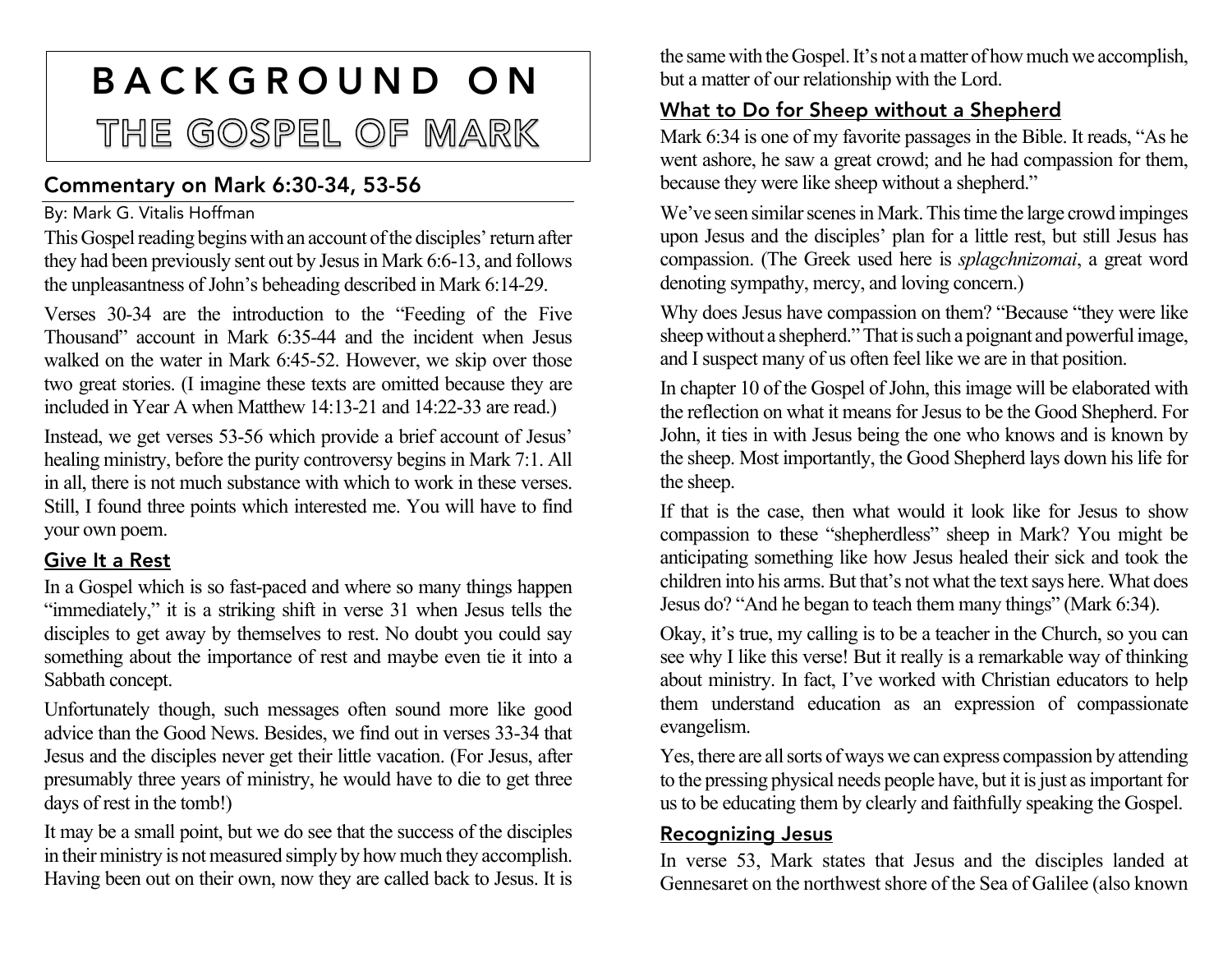# BACKGROUND ON THE GOSPEL OF MARK

# Commentary on Mark 6:30-34, 53-56

#### By: Mark G. Vitalis Hoffman

ThisGospel reading begins with an account of the disciples' return after they had been previously sent out by Jesus in Mark 6:6-13, and follows the unpleasantness of John's beheading described in Mark 6:14-29.

Verses 30-34 are the introduction to the "Feeding of the Five Thousand" account in Mark 6:35-44 and the incident when Jesus walked on the water in Mark 6:45-52. However, we skip over those two great stories. (I imagine these texts are omitted because they are included in Year A when Matthew 14:13-21 and 14:22-33 are read.)

Instead, we get verses 53-56 which provide a brief account of Jesus' healing ministry, before the purity controversy begins in Mark 7:1. All in all, there is not much substance with which to work in these verses. Still, I found three points which interested me. You will have to find your own poem.

# Give It a Rest

In a Gospel which is so fast-paced and where so many things happen "immediately," it is a striking shift in verse 31 when Jesus tells the disciples to get away by themselves to rest. No doubt you could say something about the importance of rest and maybe even tie it into a Sabbath concept.

Unfortunately though, such messages often sound more like good advice than the Good News. Besides, we find out in verses 33-34 that Jesus and the disciples never get their little vacation. (For Jesus, after presumably three years of ministry, he would have to die to get three days of rest in the tomb!)

It may be a small point, but we do see that the success of the disciples in their ministry is not measured simply by how much they accomplish. Having been out on their own, now they are called back to Jesus. It is the same with the Gospel. It's not a matter of how much we accomplish, but a matter of our relationship with the Lord.

# What to Do for Sheep without a Shepherd

Mark 6:34 is one of my favorite passages in the Bible. It reads, "As he went ashore, he saw a great crowd; and he had compassion for them, because they were like sheep without a shepherd."

We've seen similar scenes in Mark. This time the large crowd impinges upon Jesus and the disciples' plan for a little rest, but still Jesus has compassion. (The Greek used here is *splagchnizomai*, a great word denoting sympathy, mercy, and loving concern.)

Why does Jesus have compassion on them? "Because "they were like sheep without a shepherd." That is such a poignant and powerful image, and I suspect many of us often feel like we are in that position.

In chapter 10 of the Gospel of John, this image will be elaborated with the reflection on what it means for Jesus to be the Good Shepherd. For John, it ties in with Jesus being the one who knows and is known by the sheep. Most importantly, the Good Shepherd lays down his life for the sheep.

If that is the case, then what would it look like for Jesus to show compassion to these "shepherdless" sheep in Mark? You might be anticipating something like how Jesus healed their sick and took the children into his arms. But that's not what the text says here. What does Jesus do? "And he began to teach them many things" (Mark 6:34).

Okay, it's true, my calling is to be a teacher in the Church, so you can see why I like this verse! But it really is a remarkable way of thinking about ministry. In fact, I've worked with Christian educators to help them understand education as an expression of compassionate evangelism.

Yes, there are all sorts of ways we can express compassion by attending to the pressing physical needs people have, but it is just as important for us to be educating them by clearly and faithfully speaking the Gospel.

# Recognizing Jesus

In verse 53, Mark states that Jesus and the disciples landed at Gennesaret on the northwest shore of the Sea of Galilee (also known